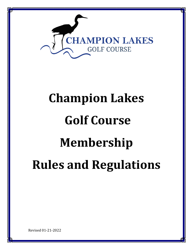

# **Champion Lakes Golf Course Membership Rules and Regulations**

Revised 01-21-2022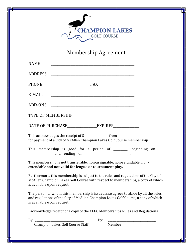

Membership Agreement

| <b>NAME</b>                |                                                                                                                                                                        |  |
|----------------------------|------------------------------------------------------------------------------------------------------------------------------------------------------------------------|--|
| <b>ADDRESS</b>             |                                                                                                                                                                        |  |
| <b>PHONE</b>               |                                                                                                                                                                        |  |
| E-MAIL                     | <u> 2002 - Jan James James James James James James James James James James James James James James James James J</u>                                                   |  |
|                            |                                                                                                                                                                        |  |
|                            |                                                                                                                                                                        |  |
|                            | DATE OF PURCHASE EXPIRES                                                                                                                                               |  |
|                            | for payment of a City of McAllen Champion Lakes Golf Course membership.                                                                                                |  |
|                            | This membership is good for a period of ______, beginning on<br><u>___________</u> __ and ending on ________________________.                                          |  |
|                            | This membership is not transferable, non-assignable, non-refundable, non-<br>extendable and not valid for league or tournament play.                                   |  |
| is available upon request. | Furthermore, this membership is subject to the rules and regulations of the City of<br>McAllen Champion Lakes Golf Course with respect to memberships, a copy of which |  |
|                            | The person to whom this membership is issued also agrees to abide by all the rules                                                                                     |  |

The person to whom this membership is issued also agrees to abide by all the rules and regulations of the City of McAllen Champion Lakes Golf Course, a copy of which is available upon request.

I acknowledge receipt of a copy of the CLGC Memberships Rules and Regulations

| -        |   |  |
|----------|---|--|
| . .      |   |  |
| <b>.</b> | - |  |
|          |   |  |

Champion Lakes Golf Course Staff Member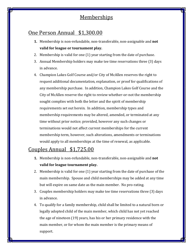## **Memberships**

## One Person Annual \$1,300.00

- **1.** Membership is non-refundable, non-transferable, non-assignable and **not valid for league or tournament play.**
- 2. Membership is valid for one (1) year starting from the date of purchase.
- 3. Annual Membership holders may make tee time reservations three (3) days in advance.
- 4. Champion Lakes Golf Course and/or City of McAllen reserves the right to request additional documentation, explanation, or proof for qualifications of any membership purchase. In addition, Champion Lakes Golf Course and the City of McAllen reserve the right to review whether-or-not the membership sought complies with both the letter and the spirit of membership requirements set out herein. In addition, membership types and membership requirements may be altered, amended, or terminated at any time without prior notice; provided, however any such changes or terminations would not affect current memberships for the current membership term, however, such alterations, amendments or terminations would apply to all memberships at the time of renewal, as applicable.

## Couples Annual \$1,725.00

- **1.** Membership is non-refundable, non-transferable, non-assignable and **not valid for league tournament play.**
- 2. Membership is valid for one (1) year starting from the date of purchase of the main membership. Spouse and child memberships may be added at any time but will expire on same date as the main member. No pro-rating.
- 3. Couples membership holders may make tee time reservations three (3) days in advance.
- 4. To qualify for a family membership, child shall be limited to a natural born or legally adopted child of the main member, which child has not yet reached the age of nineteen (19) years, has his or her primary residence with the main member, or for whom the main member is the primary means of support.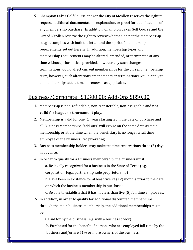5. Champion Lakes Golf Course and/or the City of McAllen reserves the right to request additional documentation, explanation, or proof for qualifications of any membership purchase. In addition, Champion Lakes Golf Course and the City of McAllen reserve the right to review whether-or-not the membership sought complies with both the letter and the spirit of membership requirements set out herein. In addition, membership types and membership requirements may be altered, amended, or terminated at any time without prior notice; provided, however any such changes or terminations would affect current memberships for the current membership term, however, such alterations amendments or terminations would apply to all memberships at the time of renewal, as applicable.

### Business/Corporate \$1,300.00; Add-Ons \$850.00

- **1.** Membership is non-refundable, non-transferable, non-assignable and **not valid for league or tournament play.**
- 2. Membership is valid for one (1) year starting from the date of purchase and all Business Memberships "add-ons" will expire on the same date as main membership or at the time when the beneficiary is no longer a full time employee of the business. No pro-rating.
- 3. Business membership holders may make tee time reservations three (3) days in advance.
- 4. In order to qualify for a Business membership, the business must:

a. Be legally recognized for a business in the State of Texas (e.g. corporation, legal partnership, sole proprietorship)

b. Have been in existence for at least twelve (12) months prior to the date on which the business membership is purchased.

c. Be able to establish that it has not less than five (5) full time employees.

5. In addition, in order to qualify for additional discounted memberships through the main business membership, the additional memberships must be

a. Paid for by the business (e.g. with a business check)

b. Purchased for the benefit of persons who are employed full time by the business and/or are 51% or more owners of the business.